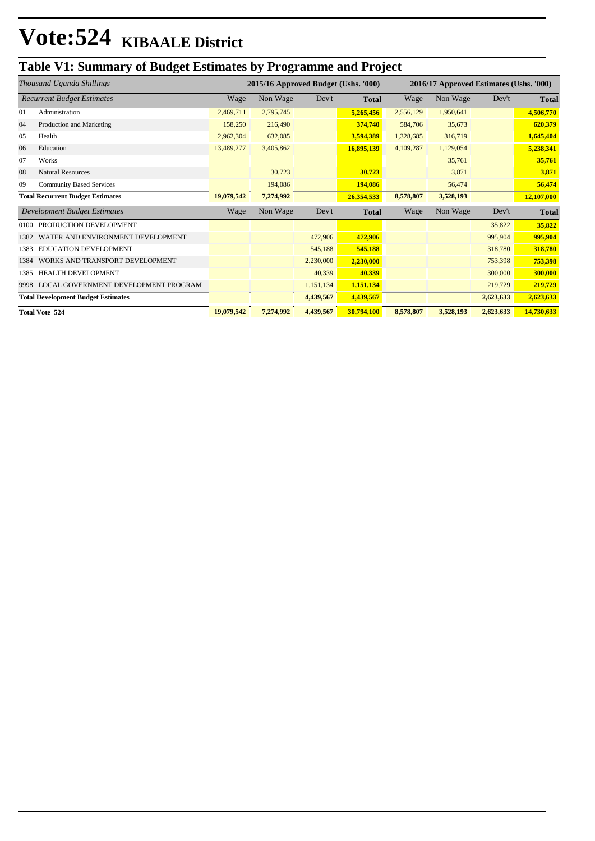### **Table V1: Summary of Budget Estimates by Programme and Project**

| Thousand Uganda Shillings |                                           | 2015/16 Approved Budget (Ushs. '000) |           |           | 2016/17 Approved Estimates (Ushs. '000) |           |           |           |              |
|---------------------------|-------------------------------------------|--------------------------------------|-----------|-----------|-----------------------------------------|-----------|-----------|-----------|--------------|
|                           | <b>Recurrent Budget Estimates</b>         | Wage                                 | Non Wage  | Dev't     | <b>Total</b>                            | Wage      | Non Wage  | Dev't     | <b>Total</b> |
| 01                        | Administration                            | 2,469,711                            | 2,795,745 |           | 5,265,456                               | 2,556,129 | 1,950,641 |           | 4,506,770    |
| 04                        | Production and Marketing                  | 158,250                              | 216,490   |           | 374,740                                 | 584,706   | 35,673    |           | 620,379      |
| 05                        | Health                                    | 2,962,304                            | 632,085   |           | 3,594,389                               | 1,328,685 | 316,719   |           | 1,645,404    |
| 06                        | Education                                 | 13,489,277                           | 3,405,862 |           | 16,895,139                              | 4,109,287 | 1,129,054 |           | 5,238,341    |
| 07                        | Works                                     |                                      |           |           |                                         |           | 35,761    |           | 35,761       |
| 08                        | <b>Natural Resources</b>                  |                                      | 30,723    |           | 30,723                                  |           | 3,871     |           | 3,871        |
| 09                        | <b>Community Based Services</b>           |                                      | 194,086   |           | 194,086                                 |           | 56,474    |           | 56,474       |
|                           | <b>Total Recurrent Budget Estimates</b>   | 19,079,542                           | 7,274,992 |           | 26,354,533                              | 8,578,807 | 3,528,193 |           | 12,107,000   |
|                           | <b>Development Budget Estimates</b>       | Wage                                 | Non Wage  | Dev't     | <b>Total</b>                            | Wage      | Non Wage  | Dev't     | <b>Total</b> |
| 0100                      | PRODUCTION DEVELOPMENT                    |                                      |           |           |                                         |           |           | 35,822    | 35,822       |
| 1382                      | WATER AND ENVIRONMENT DEVELOPMENT         |                                      |           | 472,906   | 472,906                                 |           |           | 995,904   | 995,904      |
| 1383                      | <b>EDUCATION DEVELOPMENT</b>              |                                      |           | 545,188   | 545,188                                 |           |           | 318,780   | 318,780      |
| 1384                      | WORKS AND TRANSPORT DEVELOPMENT           |                                      |           | 2,230,000 | 2,230,000                               |           |           | 753,398   | 753,398      |
| 1385                      | <b>HEALTH DEVELOPMENT</b>                 |                                      |           | 40,339    | 40,339                                  |           |           | 300,000   | 300,000      |
| 9998                      | LOCAL GOVERNMENT DEVELOPMENT PROGRAM      |                                      |           | 1,151,134 | 1,151,134                               |           |           | 219,729   | 219,729      |
|                           | <b>Total Development Budget Estimates</b> |                                      |           | 4,439,567 | 4,439,567                               |           |           | 2,623,633 | 2,623,633    |
|                           | <b>Total Vote 524</b>                     | 19,079,542                           | 7,274,992 | 4,439,567 | 30,794,100                              | 8,578,807 | 3,528,193 | 2,623,633 | 14,730,633   |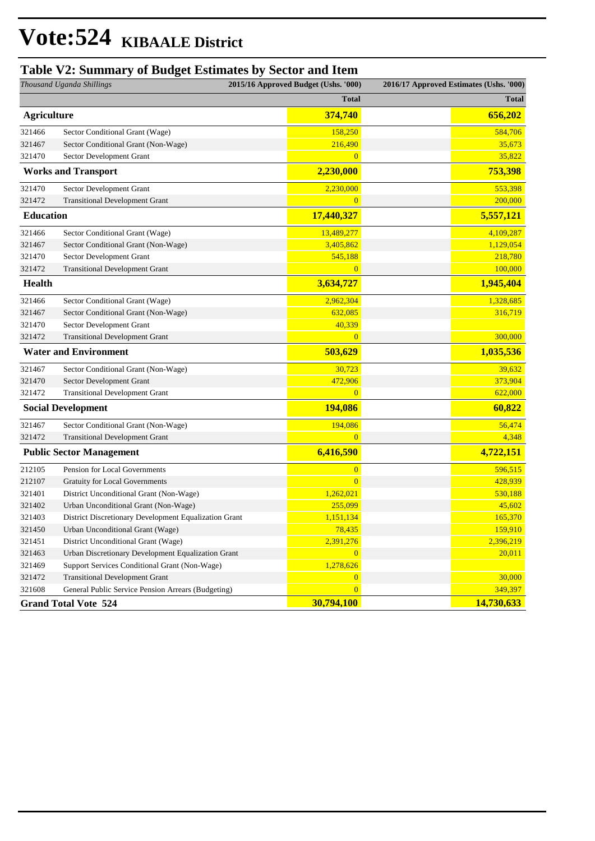### **Table V2: Summary of Budget Estimates by Sector and Item**

| Thousand Uganda Shillings   |                                                       | 2015/16 Approved Budget (Ushs. '000) | 2016/17 Approved Estimates (Ushs. '000) |              |
|-----------------------------|-------------------------------------------------------|--------------------------------------|-----------------------------------------|--------------|
|                             |                                                       | <b>Total</b>                         |                                         | <b>Total</b> |
| <b>Agriculture</b>          |                                                       | 374,740                              |                                         | 656,202      |
| 321466                      | Sector Conditional Grant (Wage)                       | 158,250                              |                                         | 584,706      |
| 321467                      | Sector Conditional Grant (Non-Wage)                   | 216,490                              |                                         | 35,673       |
| 321470                      | Sector Development Grant                              | $\overline{0}$                       |                                         | 35,822       |
|                             | <b>Works and Transport</b>                            | 2,230,000                            |                                         | 753,398      |
| 321470                      | Sector Development Grant                              | 2,230,000                            |                                         | 553,398      |
| 321472                      | <b>Transitional Development Grant</b>                 | $\overline{0}$                       |                                         | 200,000      |
| <b>Education</b>            |                                                       | 17,440,327                           |                                         | 5,557,121    |
| 321466                      | Sector Conditional Grant (Wage)                       | 13,489,277                           |                                         | 4,109,287    |
| 321467                      | Sector Conditional Grant (Non-Wage)                   | 3,405,862                            |                                         | 1,129,054    |
| 321470                      | Sector Development Grant                              | 545,188                              |                                         | 218,780      |
| 321472                      | <b>Transitional Development Grant</b>                 | $\overline{0}$                       |                                         | 100,000      |
| <b>Health</b>               |                                                       | 3,634,727                            |                                         | 1,945,404    |
| 321466                      | Sector Conditional Grant (Wage)                       | 2,962,304                            |                                         | 1,328,685    |
| 321467                      | Sector Conditional Grant (Non-Wage)                   | 632,085                              |                                         | 316,719      |
| 321470                      | Sector Development Grant                              | 40,339                               |                                         |              |
| 321472                      | <b>Transitional Development Grant</b>                 | $\mathbf{0}$                         |                                         | 300,000      |
|                             | <b>Water and Environment</b>                          | 503,629                              |                                         | 1,035,536    |
| 321467                      | Sector Conditional Grant (Non-Wage)                   | 30,723                               |                                         | 39,632       |
| 321470                      | Sector Development Grant                              | 472,906                              |                                         | 373,904      |
| 321472                      | <b>Transitional Development Grant</b>                 | $\overline{0}$                       |                                         | 622,000      |
|                             | <b>Social Development</b>                             | 194,086                              |                                         | 60,822       |
| 321467                      | Sector Conditional Grant (Non-Wage)                   | 194,086                              |                                         | 56,474       |
| 321472                      | <b>Transitional Development Grant</b>                 | $\overline{0}$                       |                                         | 4,348        |
|                             | <b>Public Sector Management</b>                       | 6,416,590                            |                                         | 4,722,151    |
| 212105                      | Pension for Local Governments                         | $\overline{0}$                       |                                         | 596,515      |
| 212107                      | <b>Gratuity for Local Governments</b>                 | $\overline{0}$                       |                                         | 428,939      |
| 321401                      | District Unconditional Grant (Non-Wage)               | 1,262,021                            |                                         | 530,188      |
| 321402                      | Urban Unconditional Grant (Non-Wage)                  | 255,099                              |                                         | 45,602       |
| 321403                      | District Discretionary Development Equalization Grant | 1,151,134                            |                                         | 165,370      |
| 321450                      | Urban Unconditional Grant (Wage)                      | 78,435                               |                                         | 159,910      |
| 321451                      | District Unconditional Grant (Wage)                   | 2,391,276                            |                                         | 2,396,219    |
| 321463                      | Urban Discretionary Development Equalization Grant    | $\overline{0}$                       |                                         | 20,011       |
| 321469                      | Support Services Conditional Grant (Non-Wage)         | 1,278,626                            |                                         |              |
| 321472                      | <b>Transitional Development Grant</b>                 | $\overline{0}$                       |                                         | 30,000       |
| 321608                      | General Public Service Pension Arrears (Budgeting)    | $\overline{0}$                       |                                         | 349,397      |
| <b>Grand Total Vote 524</b> |                                                       | 30,794,100                           |                                         | 14,730,633   |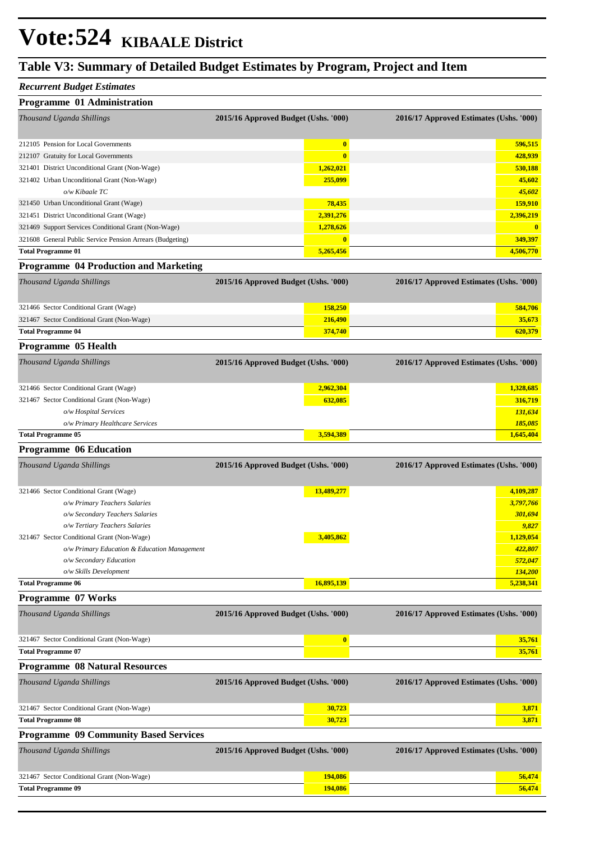### **Table V3: Summary of Detailed Budget Estimates by Program, Project and Item**

#### *Recurrent Budget Estimates*

| <b>Programme 01 Administration</b>                        |                                      |                                         |
|-----------------------------------------------------------|--------------------------------------|-----------------------------------------|
| Thousand Uganda Shillings                                 | 2015/16 Approved Budget (Ushs. '000) | 2016/17 Approved Estimates (Ushs. '000) |
| 212105 Pension for Local Governments                      | $\bf{0}$                             | 596,515                                 |
| 212107 Gratuity for Local Governments                     | $\mathbf{0}$                         | 428,939                                 |
| 321401 District Unconditional Grant (Non-Wage)            | 1,262,021                            | 530,188                                 |
| 321402 Urban Unconditional Grant (Non-Wage)               | 255,099                              | 45,602                                  |
| $o/w$ Kibaale TC                                          |                                      | 45,602                                  |
| 321450 Urban Unconditional Grant (Wage)                   | 78,435                               | 159,910                                 |
| 321451 District Unconditional Grant (Wage)                | 2,391,276                            | 2,396,219                               |
| 321469 Support Services Conditional Grant (Non-Wage)      | 1,278,626                            | $\mathbf{0}$                            |
| 321608 General Public Service Pension Arrears (Budgeting) | $\mathbf{0}$                         | 349,397                                 |
| <b>Total Programme 01</b>                                 | 5,265,456                            | 4,506,770                               |
| <b>Programme 04 Production and Marketing</b>              |                                      |                                         |
| <i>Thousand Uganda Shillings</i>                          | 2015/16 Approved Budget (Ushs. '000) | 2016/17 Approved Estimates (Ushs. '000) |

| Thousand Uganda Shillings                  | 2015/16 Approved Budget (Ushs. '000) | 2016/17 Approved Estimates (Ushs. '000) |
|--------------------------------------------|--------------------------------------|-----------------------------------------|
| 321466 Sector Conditional Grant (Wage)     | 158,250                              | 584,706                                 |
| 321467 Sector Conditional Grant (Non-Wage) | 216,490                              | 35,673                                  |

| Programme 05 Health                        |                                      |                                         |
|--------------------------------------------|--------------------------------------|-----------------------------------------|
| Thousand Uganda Shillings                  | 2015/16 Approved Budget (Ushs. '000) | 2016/17 Approved Estimates (Ushs. '000) |
| 321466 Sector Conditional Grant (Wage)     | 2,962,304                            | 1,328,685                               |
| 321467 Sector Conditional Grant (Non-Wage) | 632,085                              | 316,719                                 |
| o/w Hospital Services                      |                                      | 131,634                                 |
| o/w Primary Healthcare Services            |                                      | 185,085                                 |
| <b>Total Programme 05</b>                  |                                      | 1,645,404                               |

**Total Programme 04 620,379 620,379** 

#### **Programme 06 Education**

| Thousand Uganda Shillings                    | 2015/16 Approved Budget (Ushs. '000) | 2016/17 Approved Estimates (Ushs. '000) |  |
|----------------------------------------------|--------------------------------------|-----------------------------------------|--|
|                                              |                                      |                                         |  |
| 321466 Sector Conditional Grant (Wage)       | 13,489,277                           | 4,109,287                               |  |
| o/w Primary Teachers Salaries                |                                      | 3,797,766                               |  |
| o/w Secondary Teachers Salaries              |                                      | 301,694                                 |  |
| o/w Tertiary Teachers Salaries               |                                      | 9,827                                   |  |
| 321467 Sector Conditional Grant (Non-Wage)   | 3,405,862                            | 1,129,054                               |  |
| o/w Primary Education & Education Management |                                      | 422,807                                 |  |
| o/w Secondary Education                      |                                      | 572,047                                 |  |
| o/w Skills Development                       |                                      | 134,200                                 |  |
| <b>Total Programme 06</b>                    | 16,895,139                           | 5,238,341                               |  |

**Programme 07 Works**

| Thousand Uganda Shillings                  | 2015/16 Approved Budget (Ushs. '000) | 2016/17 Approved Estimates (Ushs. '000) |
|--------------------------------------------|--------------------------------------|-----------------------------------------|
| 321467 Sector Conditional Grant (Non-Wage) | $\bf{0}$                             | 35,761                                  |
| <b>Total Programme 07</b>                  |                                      | 35,761                                  |

#### **Programme 08 Natural Resources**

| Thousand Uganda Shillings                    | 2015/16 Approved Budget (Ushs. '000) | 2016/17 Approved Estimates (Ushs. '000) |  |
|----------------------------------------------|--------------------------------------|-----------------------------------------|--|
| 321467 Sector Conditional Grant (Non-Wage)   |                                      | 30,723<br>3,871                         |  |
| <b>Total Programme 08</b>                    |                                      | 3,871<br>30.723                         |  |
| <b>Programme 09 Community Based Services</b> |                                      |                                         |  |
| Thousand Uganda Shillings                    | 2015/16 Approved Budget (Ushs. '000) | 2016/17 Approved Estimates (Ushs. '000) |  |
| 321467 Sector Conditional Grant (Non-Wage)   |                                      | 56,474<br>194,086                       |  |
| <b>Total Programme 09</b>                    |                                      | 56,474<br>194,086                       |  |